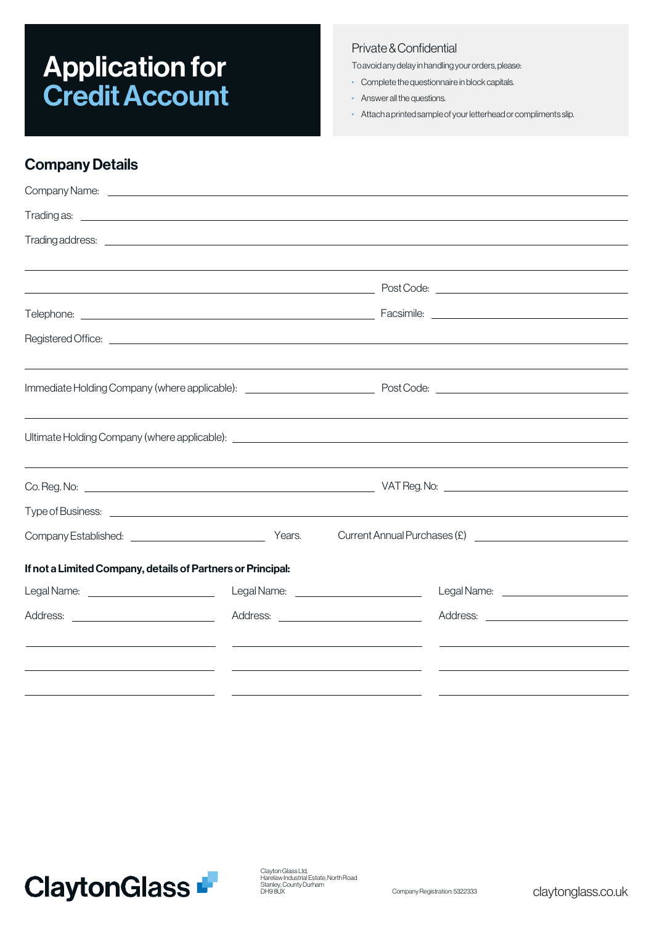# Application for **Credit Account**

#### Private & Confidential

Toavoidanydelayinhandlingyourorders,please:

- Complete the questionnaire in block capitals.
- Answer all the questions.
- Attach a printedsampleof your letterhead or compliments slip.

### **Company Details**

| Trading as: <u>example and the contract of the contract of the contract of the contract of the contract of the contract of the contract of the contract of the contract of the contract of the contract of the contract of the c</u> |                                                                  |                                                |  |
|--------------------------------------------------------------------------------------------------------------------------------------------------------------------------------------------------------------------------------------|------------------------------------------------------------------|------------------------------------------------|--|
|                                                                                                                                                                                                                                      |                                                                  |                                                |  |
|                                                                                                                                                                                                                                      |                                                                  |                                                |  |
|                                                                                                                                                                                                                                      |                                                                  |                                                |  |
|                                                                                                                                                                                                                                      |                                                                  |                                                |  |
|                                                                                                                                                                                                                                      |                                                                  |                                                |  |
|                                                                                                                                                                                                                                      |                                                                  |                                                |  |
|                                                                                                                                                                                                                                      |                                                                  |                                                |  |
|                                                                                                                                                                                                                                      |                                                                  |                                                |  |
|                                                                                                                                                                                                                                      |                                                                  |                                                |  |
|                                                                                                                                                                                                                                      |                                                                  |                                                |  |
|                                                                                                                                                                                                                                      |                                                                  |                                                |  |
|                                                                                                                                                                                                                                      |                                                                  |                                                |  |
| Company Established: <u>___________________________________</u> Years.                                                                                                                                                               |                                                                  |                                                |  |
| If not a Limited Company, details of Partners or Principal:                                                                                                                                                                          |                                                                  |                                                |  |
|                                                                                                                                                                                                                                      | Legal Name: <u>________________________________</u>              | Legal Name: <u>___________________________</u> |  |
|                                                                                                                                                                                                                                      |                                                                  |                                                |  |
| <u> 1989 - Johann Barn, mars ann an t-Amhain an t-Amhain an t-Amhain an t-Amhain an t-Amhain an t-Amhain an t-Amh</u>                                                                                                                | <u> 1989 - Andrea Barbara, amerikan personal (h. 1989).</u>      |                                                |  |
| <u> 1989 - Andrea Stadt Britain, amerikansk politik (* 1958)</u>                                                                                                                                                                     | <u> 1989 - Andrea Stadt Britain, amerikansk politik (* 1958)</u> |                                                |  |
|                                                                                                                                                                                                                                      |                                                                  |                                                |  |

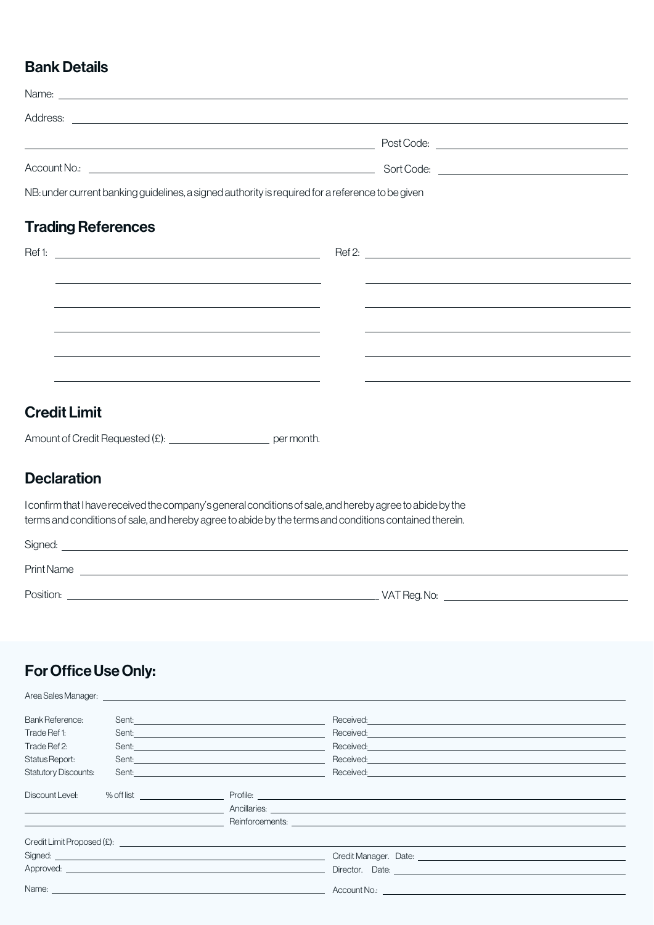#### Bank Details

| Name: <u>experimental and the contract of the contract of the contract of the contract of the contract of the contract of the contract of the contract of the contract of the contract of the contract of the contract of the co</u> |  |
|--------------------------------------------------------------------------------------------------------------------------------------------------------------------------------------------------------------------------------------|--|
| Address: <u>the contract of the contract of the contract of the contract of the contract of the contract of the contract of the contract of the contract of the contract of the contract of the contract of the contract of the </u> |  |
|                                                                                                                                                                                                                                      |  |
|                                                                                                                                                                                                                                      |  |
| NB: under current banking guidelines, a signed authority is required for a reference to be given                                                                                                                                     |  |
| <b>Trading References</b>                                                                                                                                                                                                            |  |
|                                                                                                                                                                                                                                      |  |
|                                                                                                                                                                                                                                      |  |
|                                                                                                                                                                                                                                      |  |
|                                                                                                                                                                                                                                      |  |
| and the control of the control of the control of the control of the control of the control of the control of the                                                                                                                     |  |
|                                                                                                                                                                                                                                      |  |
| <b>Credit Limit</b>                                                                                                                                                                                                                  |  |
|                                                                                                                                                                                                                                      |  |
| Amount of Credit Requested (£): ________________________ per month.                                                                                                                                                                  |  |
| <b>Declaration</b>                                                                                                                                                                                                                   |  |
| I confirm that I have received the company's general conditions of sale, and hereby agree to abide by the<br>terms and conditions of sale, and hereby agree to abide by the terms and conditions contained therein.                  |  |
|                                                                                                                                                                                                                                      |  |
|                                                                                                                                                                                                                                      |  |

\_\_\_\_\_\_\_\_\_\_\_\_\_\_\_\_\_ Position: VATReg.No:

## For Office Use Only:

| Bank Reference:             | Sent: <u>Context Communication</u>                                                                                                                                                                                                   | Received: <b>Example 2018</b>                                                                                                                                                                                                        |
|-----------------------------|--------------------------------------------------------------------------------------------------------------------------------------------------------------------------------------------------------------------------------------|--------------------------------------------------------------------------------------------------------------------------------------------------------------------------------------------------------------------------------------|
| Trade Ref 1:                | Sent: <u>contract and contract and contract and contract and contract and contract and contract and contract and contract and contract and contract and contract and contract and contract and contract and contract and contrac</u> |                                                                                                                                                                                                                                      |
| Trade Ref 2:                |                                                                                                                                                                                                                                      | Received: <u>contract and contract and contract and contract and contract and contract and contract of the set of the set of the set of the set of the set of the set of the set of the set of the set of the set of the set of </u> |
| Status Report:              | Sent: <u>contract and contract and contract and contract and contract and contract and contract and contract and contract and contract and contract and contract and contract and contract and contract and contract and contrac</u> | Received: National Contract of the Contract of the Contract of the Contract of the Contract of the Contract of                                                                                                                       |
| <b>Statutory Discounts:</b> | Sent: <u>contract and contract and contract and contract and contract and contract and contract and contract and contract and contract and contract and contract and contract and contract and contract and contract and contrac</u> |                                                                                                                                                                                                                                      |
| Discount Level:             |                                                                                                                                                                                                                                      |                                                                                                                                                                                                                                      |
|                             |                                                                                                                                                                                                                                      | <u>Ancillaries: Ancillaries: Ancillaries: Ancillaries: Ancillaries: Ancillaries: Ancillaries: Ancillaries: Ancillaries: Ancillaries: Ancillaries: Ancillaries: Ancillaries: Ancillaries: Ancillaries: Ancillaries: Ancillaries: </u> |
|                             |                                                                                                                                                                                                                                      |                                                                                                                                                                                                                                      |
|                             | Credit Limit Proposed (£): example and the contract of the contract of the contract of the contract of the contract of the contract of the contract of the contract of the contract of the contract of the contract of the con       |                                                                                                                                                                                                                                      |
|                             | Signed: <u>contract and contract and contract and contract and contract and contract and contract and contract and contract and contract and contract and contract and contract and contract and contract and contract and contr</u> | Credit Manager. Date: National According Credit Manager.                                                                                                                                                                             |
|                             |                                                                                                                                                                                                                                      | Director. Date: the contract of the contract of the contract of the contract of the contract of the contract of the contract of the contract of the contract of the contract of the contract of the contract of the contract o       |
|                             |                                                                                                                                                                                                                                      | Name: <u>example and the second of the second Nourist Account Nourist and Account Nourist and Account Nourist and Account Nourist and Account Nourist and Account Nourist and Account Nourist and Account Nourist and Account No</u> |
|                             |                                                                                                                                                                                                                                      |                                                                                                                                                                                                                                      |